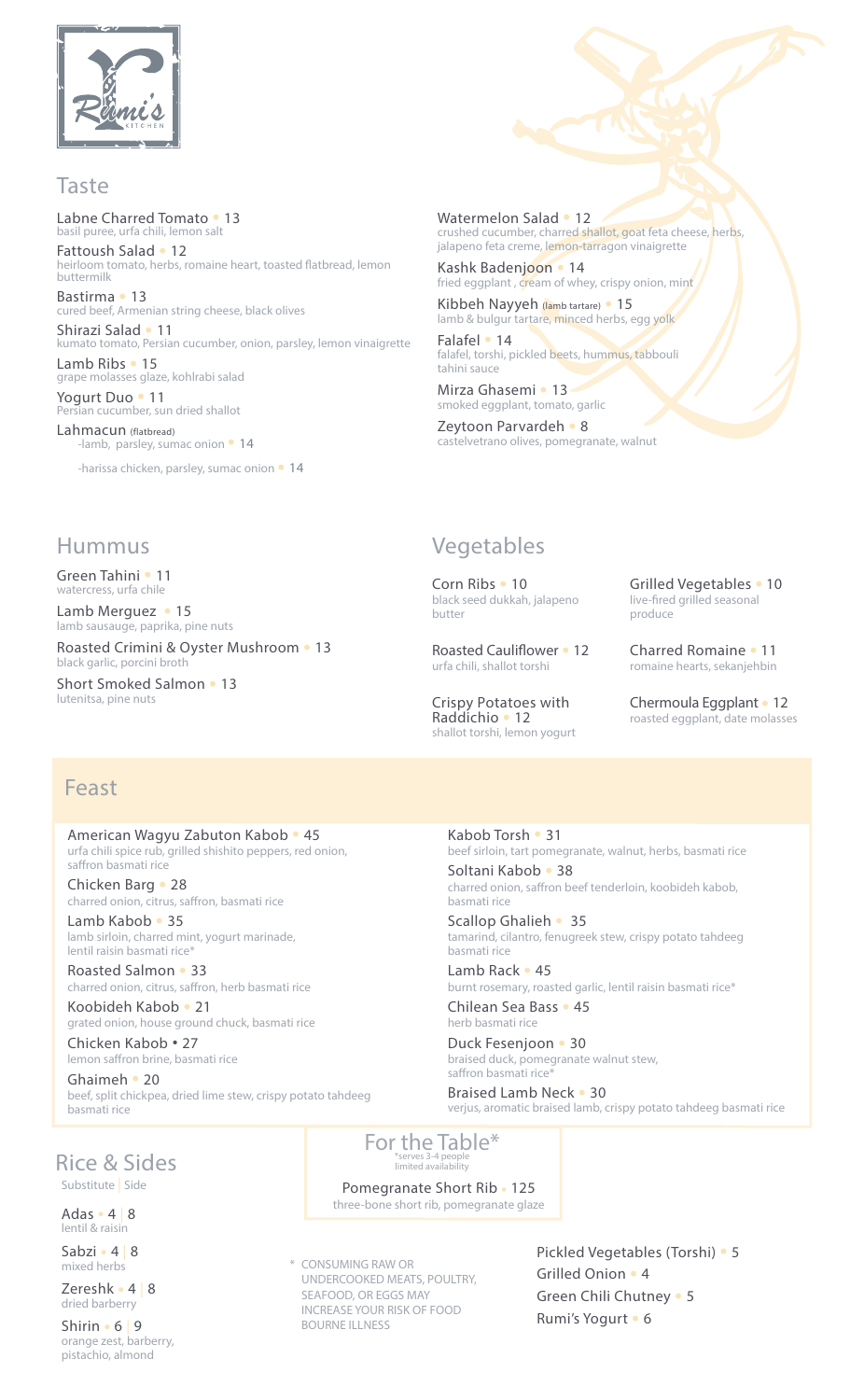

#### Taste

Labne Charred Tomato • 13 basil puree, urfa chili, lemon salt

Fattoush Salad • 12 heirloom tomato, herbs, romaine heart, toasted flatbread, lemon buttermilk

Bastirma • 13 cured beef, Armenian string cheese, black olives

Shirazi Salad • 11 kumato tomato, Persian cucumber, onion, parsley, lemon vinaigrette Lamb Ribs • 15

grape molasses glaze, kohlrabi salad Yogurt Duo • 11

ersian cucumber, sun dried shallot

Lahmacun (flatbread) lamb, parsley, sumac onion <sup>•</sup> 14

-harissa chicken, parsley, sumac onion  $\bullet$  14

Watermelon Salad • 12 crushed cucumber, charred shallot, goat feta cheese, herbs,

jalapeno feta creme, lemon-tarragon vinaigrette Kashk Badenjoon • 14

fried eggplant, cream of whey, crispy onion, mint Kibbeh Nayyeh (lamb tartare) · 15 lamb & bulgur tartare, minced herbs, egg yolk

Falafel • 14 falafel, torshi, pickled beets, hummus, tabbouli tahini sauce

Mirza Ghasemi • 13 · smoked eggplant, tomato, garlic

Zeytoon Parvardeh • 8 castelvetrano olives, pomegranate, walnut

#### Hummus

Green Tahini • 11 watercress, urfa chile

Lamb Merguez • 15 lamb sausauge, paprika, pine nuts

Roasted Crimini & Oyster Mushroom . 13 black garlic, porcini broth

Short Smoked Salmon • 13 lutenitsa, pine nuts

### Vegetables

Corn Ribs • 10 black seed dukkah, jalapeno butter

Roasted Cauliflower • 12 urfa chili, shallot torshi

Crispy Potatoes with Raddichio • 12 shallot torshi, lemon yogurt Grilled Vegetables • 10 live-fired grilled seasonal produce

Charred Romaine • 11 romaine hearts, sekanjehbin

Chermoula Eggplant · 12 roasted eggplant, date molasses

### Feast

American Wagyu Zabuton Kabob • 45 urfa chili spice rub, grilled shishito peppers, red onion, saffron basmati rice

Chicken Barg • 28 charred onion, citrus, saffron, basmati rice

Lamb Kabob • 35 lamb sirloin, charred mint, yogurt marinade, lentil raisin basmati rice<sup>®</sup>

Roasted Salmon • 33 charred onion, citrus, saffron, herb basmati rice

Koobideh Kabob • 21 grated onion, house ground chuck, basmati rice

Chicken Kabob • 27 lemon saffron brine, basmati rice

20 • Ghaimeh beef, split chickpea, dried lime stew, crispy potato tahdeeg basmati rice

Kabob Torsh • 31 beef sirloin, tart pomegranate, walnut, herbs, basmati rice

Soltani Kabob • 38 charred onion, saffron beef tenderloin, koobideh kabob, basmati rice

Scallop Ghalieh • 35 tamarind, cilantro, fenugreek stew, crispy potato tahdeeg basmati rice

Lamb Rack  $\cdot$  45 burnt rosemary, roasted garlic, lentil raisin basmati rice\*

Chilean Sea Bass · 45 herb basmati rice

Duck Fesenjoon • 30 braised duck, pomegranate walnut stew, saffron basmati rice

Braised Lamb Neck . 30 verjus, aromatic braised lamb, crispy potato tahdeeg basmati rice

**Rice & Sides** Substitute | Side

Adas  $\cdot$  4 | 8 lentil & raisin

Sabzi · 4 8 mixed herbs

Zereshk · 4 | 8 dried barberry

 $Shirin 6 | 9$ orange zest, barberry, pistachio, almond

For the Table\* \*serves 3-4 people<br>limited availability

Pomegranate Short Rib · 125 three-bone short rib, pomegranate glaze

\* CONSUMING RAW OR UNDERCOOKED MEATS, POULTRY, SEAFOOD, OR EGGS MAY INCREASE YOUR RISK OF FOOD BOURNE ILLNESS

Pickled Vegetables (Torshi) • 5 Grilled Onion . 4 Green Chili Chutney . 5 Rumi's Yogurt · 6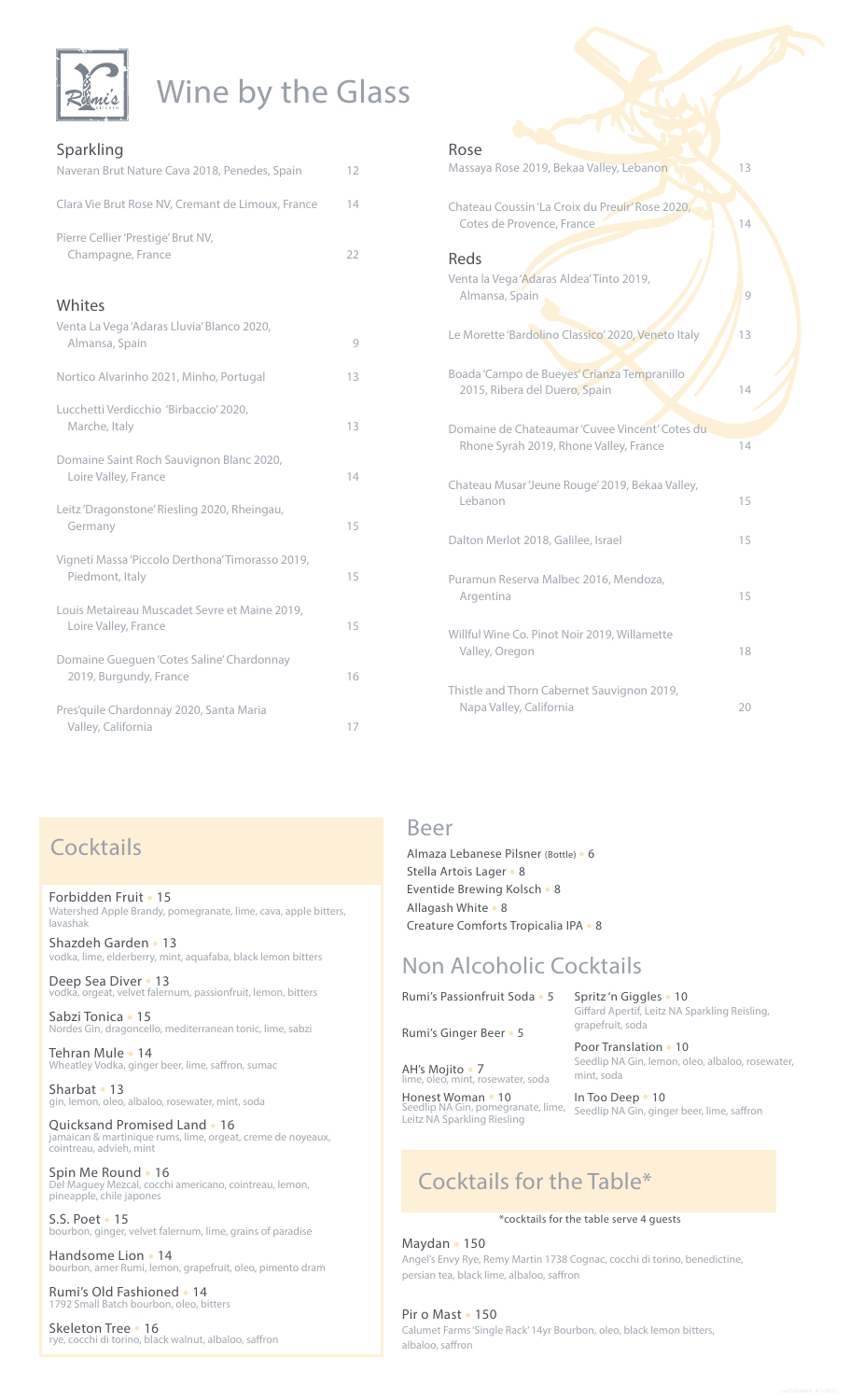

# Wine by the Glass

| Sparkling                                                             |    |
|-----------------------------------------------------------------------|----|
| Naveran Brut Nature Cava 2018, Penedes, Spain                         | 12 |
| Clara Vie Brut Rose NV, Cremant de Limoux, France                     | 14 |
| Pierre Cellier 'Prestige' Brut NV,<br>Champagne, France               | 22 |
| Whites                                                                |    |
| Venta La Vega 'Adaras Lluvia' Blanco 2020,<br>Almansa, Spain          | 9  |
| Nortico Alvarinho 2021, Minho, Portugal                               | 13 |
| Lucchetti Verdicchio 'Birbaccio' 2020,<br>Marche, Italy               | 13 |
| Domaine Saint Roch Sauvignon Blanc 2020,<br>Loire Valley, France      | 14 |
| Leitz 'Dragonstone' Riesling 2020, Rheingau,<br>Germany               | 15 |
| Vigneti Massa 'Piccolo Derthona' Timorasso 2019,<br>Piedmont, Italy   | 15 |
| Louis Metaireau Muscadet Sevre et Maine 2019,<br>Loire Valley, France | 15 |
| Domaine Gueguen 'Cotes Saline' Chardonnay<br>2019, Burgundy, France   | 16 |
| Pres'quile Chardonnay 2020, Santa Maria<br>Valley, California         | 17 |

### Rose Massaya Rose 2019, Bekaa Valley, Lebanon (Campus 13 Chateau Coussin 'La Croix du Preuir' Rose 2020, Cotes de Provence, France 14 Reds Venta la Vega 'Adaras Aldea' Tinto 2019, Almansa, Spain ,Almansa, Spain ,Almansa, Spain ,Almansa, Spain ,Almansa ,Almansa , Le Morette 'Bardolino Classico' 2020, Veneto Italy / 13 Boada 'Campo de Bueyes' Crianza Tempranillo 2015, Ribera del Duero, Spain 14 Domaine de Chateaumar 'Cuvee Vincent' Cotes du Rhone Syrah 2019, Rhone Valley, France 74 Chateau Musar 'Jeune Rouge' 2019, Bekaa Valley, Lebanon 15 Dalton Merlot 2018, Galilee, Israel 15 Puramun Reserva Malbec 2016, Mendoza, Argentina 15 Willful Wine Co. Pinot Noir 2019, Willamette Valley, Oregon and a state of the US and the US and the US are the US and the US are the US and the US are the US and the US are the US and the US are the US and the US are the US and the US are the US and the US are the U

Thistle and Thorn Cabernet Sauvignon 2019, Napa Valley, California (20)

### **Cocktails**

Forbidden Fruit • 15 Watershed Apple Brandy, pomegranate, lime, cava, apple bitters, lavashak

Shazdeh Garden • 13 vodka, lime, elderberry, mint, aquafaba, black lemon bitters

Deep Sea Diver • 13<br>vodka, orgeat, velvet falernum, passionfruit, lemon, bitters

Sabzi Tonica • 15 Nordes Gin, dragoncello, mediterranean tonic, lime, sabzi

Tehran Mule • 14 n an mare .<br>atley Vodka, ginger beer, lime, saffron, sumac

Sharbat • 13 gin, lemon, oleo, albaloo, rosewater, mint, soda

Quicksand Promised Land . 16 jamaican & martinique rums, lime, orgeat, creme de noyeaux, cointreau, advieh, mint

Spin Me Round • 16<br>Del Maguey Mezcal, cocchi americano, cointreau, lemon, pineapple, chile japones

5.S. Poet . 15 rbon, ginger, velvet falernum, lime, grains of paradise

Handsome Lion • 14 mi, lemon, grapefruit, oleo, pimento dram

Rumi's Old Fashioned . 14 oleo, bitters

Skeleton Tree • 16<br>rye, cocchi di torino, black walnut, albaloo, saffron

### Beer

Almaza Lebanese Pilsner (Bottle) · 6 Stella Artois Lager • 8 Eventide Brewing Kolsch • 8 Allagash White • 8 Creature Comforts Tropicalia IPA . 8

### **Non Alcoholic Cocktails**

Rumi's Passionfruit Soda • 5

Rumi's Ginger Beer • 5

AH's Mojito · 7

Spritz'n Giggles • 10 Giffard Apertif, Leitz NA Sparkling Reisling, arapefruit, soda

Poor Translation • 10 Seedlip NA Gin, lemon, oleo, albaloo, rosewater, mint, soda

nt, rosewater, soda Leitz NA Sparkling Riesling

Honest Woman • 10<br>Seedlip NA Gin, pomegranate, lime, Seedlip NA Gin, ginger beer, lime, saffron

### Cocktails for the Table\*

#### \*cocktails for the table serve 4 guests

Maydan · 150 Angel's Envy Rye, Remy Martin 1738 Cognac, cocchi di torino, benedictine, persian tea, black lime, albaloo, saffron

#### Pir o Mast · 150

Calumet Farms 'Single Rack' 14yr Bourbon, oleo, black lemon bitters, albaloo, saffron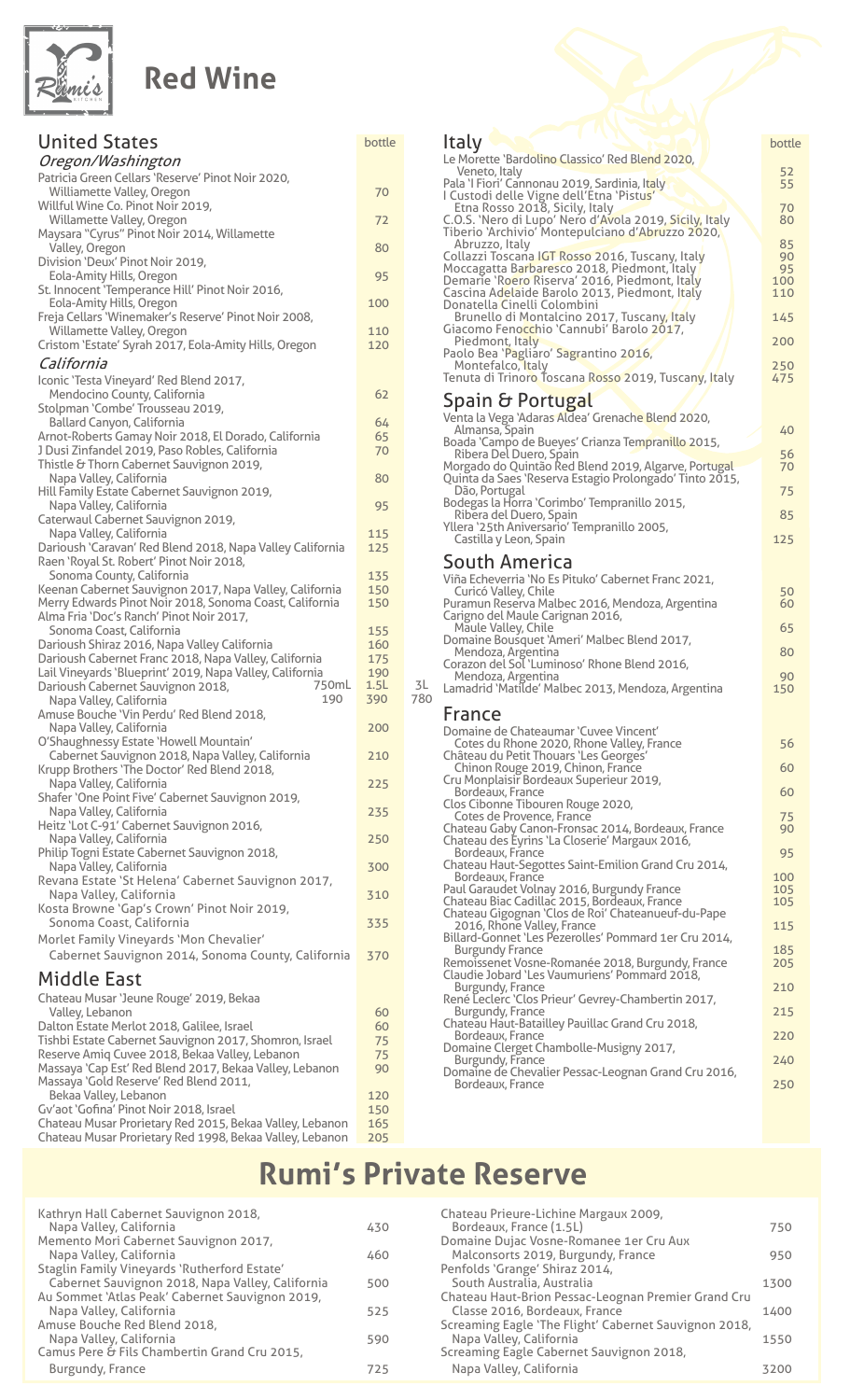

### **Red Wine**

| <b>United States</b>                                                                       | bottle     |
|--------------------------------------------------------------------------------------------|------------|
| Oregon/Washington                                                                          |            |
| Patricia Green Cellars 'Reserve' Pinot Noir 2020,                                          |            |
| Williamette Valley, Oregon                                                                 | 70         |
| Willful Wine Co. Pinot Noir 2019,                                                          |            |
| Willamette Valley, Oregon<br>Maysara "Cyrus" Pinot Noir 2014, Willamette                   | 72         |
| Valley, Oregon                                                                             | 80         |
| Division 'Deux' Pinot Noir 2019,                                                           |            |
| Eola-Amity Hills, Oregon                                                                   | 95         |
| St. Innocent 'Temperance Hill' Pinot Noir 2016,                                            |            |
| Eola-Amity Hills, Oregon<br>Freja Cellars 'Winemaker's Reserve' Pinot Noir 2008,           | 100        |
| Willamette Valley, Oregon                                                                  | 110        |
| Cristom 'Estate' Syrah 2017, Eola-Amity Hills, Oregon                                      | 120        |
| California                                                                                 |            |
| Iconic 'Testa Vineyard' Red Blend 2017,                                                    |            |
| Mendocino County, California                                                               | 62         |
| Stolpman 'Combe' Trousseau 2019,                                                           |            |
| Ballard Canyon, California                                                                 | 64         |
| Arnot-Roberts Gamay Noir 2018, El Dorado, California                                       | 65         |
| J Dusi Zinfandel 2019, Paso Robles, California<br>Thistle & Thorn Cabernet Sauvignon 2019, | 70         |
| Napa Valley, California                                                                    | 80         |
| Hill Family Estate Cabernet Sauvignon 2019,                                                |            |
| Napa Valley, California                                                                    | 95         |
| Caterwaul Cabernet Sauvignon 2019,                                                         |            |
| Napa Valley, California<br>Darioush 'Caravan' Red Blend 2018, Napa Valley California       | 115<br>125 |
| Raen 'Royal St. Robert' Pinot Noir 2018,                                                   |            |
| Sonoma County, California                                                                  | 135        |
| Keenan Cabernet Sauvignon 2017, Napa Valley, California                                    | 150        |
| Merry Edwards Pinot Noir 2018, Sonoma Coast, California                                    | 150        |
| Alma Fria 'Doc's Ranch' Pinot Noir 2017,<br>Sonoma Coast, California                       | 155        |
| Darioush Shiraz 2016, Napa Valley California                                               | 160        |
| Darioush Cabernet Franc 2018, Napa Valley, California                                      | 175        |
| Lail Vineyards 'Blueprint' 2019, Napa Valley, California                                   | 190        |
| 750mL<br>Darioush Cabernet Sauvignon 2018,                                                 | 1.5L       |
| 190<br>Napa Valley, California                                                             | 390        |
| Amuse Bouche 'Vin Perdu' Red Blend 2018,<br>Napa Valley, California                        | 200        |
| O'Shaughnessy Estate 'Howell Mountain'                                                     |            |
| Cabernet Sauvignon 2018, Napa Valley, California                                           | 210        |
| Krupp Brothers 'The Doctor' Red Blend 2018,                                                |            |
| Napa Valley, California                                                                    | 225        |
| Shafer 'One Point Five' Cabernet Sauvignon 2019,<br>Napa Valley, California                | 235        |
| Heitz 'Lot C-91' Cabernet Sauvignon 2016,                                                  |            |
| Napa Valley, California                                                                    | 250        |
| Philip Togni Estate Cabernet Sauvignon 2018,                                               |            |
| Napa Valley, California                                                                    | 300        |
| Revana Estate 'St Helena' Cabernet Sauvignon 2017,<br>Napa Valley, California              | 310        |
| Kosta Browne 'Gap's Crown' Pinot Noir 2019,                                                |            |
| Sonoma Coast, California                                                                   | 335        |
| Morlet Family Vineyards 'Mon Chevalier'                                                    |            |
| Cabernet Sauvignon 2014, Sonoma County, California                                         | 370        |
| <b>Middle East</b>                                                                         |            |
|                                                                                            |            |
| Chateau Musar 'Jeune Rouge' 2019, Bekaa<br>Valley, Lebanon                                 | 60         |
| Dalton Estate Merlot 2018, Galilee, Israel                                                 | 60         |
| Tishbi Estate Cabernet Sauvignon 2017, Shomron, Israel                                     | 75         |
| Reserve Amiq Cuvee 2018, Bekaa Valley, Lebanon                                             | 75         |
| Massaya 'Cap Est' Red Blend 2017, Bekaa Valley, Lebanon                                    | 90         |
| Massaya 'Gold Reserve' Red Blend 2011,<br>Bekaa Valley, Lebanon                            | 120        |
| Gv'aot 'Gofina' Pinot Noir 2018, Israel                                                    | 150        |
| Chateau Musar Prorietary Red 2015, Bekaa Valley, Lebanon                                   | 165        |

Chateau Musar Prorietary Red 1998, Bekaa Valley, Lebanon 205

| bottle      | Italy                                                                                                                                         | bottle           |
|-------------|-----------------------------------------------------------------------------------------------------------------------------------------------|------------------|
|             | Le Morette 'Bardolino Classico' Red Blend 2020,<br>Veneto, Italy<br>Pala 'I Fiori' Cannonau 2019, Sardinia, Italy                             | 52<br>55         |
| 70          | I Custodi delle Vigne dell'Etna 'Pistus'<br>Etna Rosso 2018, Sicily, Italy                                                                    | 70               |
| 72          | C.O.S. 'Nero di Lupo' Nero d'Avola 2019, Sicily, Italy<br>Tiberio 'Archivio' Montepulciano d'Abruzzo 2020,                                    | 80               |
| 80          | Abruzzo, Italy<br>Collazzi Toscana IGT Rosso 2016, Tuscany, Italy                                                                             | 85<br>90         |
| 95          | Moccagatta Barbaresco 2018, Piedmont, Italy<br>Demarie 'Roero Riserva' 2016, Piedmont, Italy<br>Cascina Adelaide Barolo 2013, Piedmont, Italy | 95<br>100<br>110 |
| 100         | Donatella Cinelli Colombini<br>Brunello di Montalcino 2017, Tuscany, Italy                                                                    | 145              |
| 110<br>120  | Giacomo Fenocchio 'Cannubi' Barolo 2017,<br>Piedmont, Italy<br>Paolo Bea 'Pagliaro' Sagrantino 2016,                                          | 200              |
|             | Montefalco, Italy                                                                                                                             | 250              |
| 62          | Tenuta di Trinoro Toscana Rosso 2019, Tuscany, Italy                                                                                          | 475              |
|             | Spain & Portugal<br>Venta la Vega 'Adaras Aldea' Grenache Blend 2020,                                                                         |                  |
| 64<br>65    | Almansa, Spain                                                                                                                                | 40               |
| 70          | Boada 'Campo de Bueyes' Crianza Tempranillo 2015,<br>Ribera Del Duero, Spain                                                                  | 56               |
| 80          | Morgado do Quintão Red Blend 2019, Algarve, Portugal<br>Quinta da Saes 'Reserva Estagio Prolongado' Tinto 2015,<br>Dão, Portugal              | 70<br>75         |
| 95          | Bodegas la Horra 'Corimbo' Tempranillo 2015,                                                                                                  |                  |
| 115         | Ribera del Duero, Spain<br>Yllera '25th Aniversario' Tempranillo 2005,                                                                        | 85               |
| 125         | Castilla y Leon, Spain                                                                                                                        | 125              |
|             | South America                                                                                                                                 |                  |
| 135<br>150  | Viña Echeverria 'No Es Pituko' Cabernet Franc 2021,<br>Curicó Valley, Chile                                                                   | 50               |
| 150         | Puramun Reserva Malbec 2016, Mendoza, Argentina<br>Carigno del Maule Carignan 2016,                                                           | 60               |
| 155<br>160  | Maule Valley, Chile<br>Domaine Bousquet 'Ameri' Malbec Blend 2017,                                                                            | 65               |
| 175         | Mendoza, Argentina<br>Corazon del Sol 'Luminoso' Rhone Blend 2016,                                                                            | 80               |
| 190<br>1.5L | Mendoza, Argentina<br>3L                                                                                                                      | 90               |
| 390         | Lamadrid 'Matilde' Malbec 2013, Mendoza, Argentina<br>780                                                                                     | 150              |
|             | France                                                                                                                                        |                  |
| 200         | Domaine de Chateaumar 'Cuvee Vincent'<br>Cotes du Rhone 2020, Rhone Valley, France                                                            | 56               |
| 210         | Château du Petit Thouars 'Les Georges'                                                                                                        | 60               |
| 225         | Chinon Rouge 2019, Chinon, France<br>Cru Monplaisir Bordeaux Superieur 2019,                                                                  |                  |
|             | Bordeaux, France<br>Clos Cibonne Tibouren Rouge 2020,                                                                                         | 60               |
| 235         | Cotes de Provence, France                                                                                                                     | 75               |
| 250         | Chateau Gaby Canon-Fronsac 2014, Bordeaux, France<br>Chateau des Eyrins 'La Closerie' Margaux 2016,                                           | 90               |
| 300         | Bordeaux, France<br>Chateau Haut-Segottes Saint-Emilion Grand Cru 2014,                                                                       | 95               |
|             | Bordeaux, France                                                                                                                              | 100              |
| 310         | Paul Garaudet Volnay 2016, Burgundy France<br>Chateau Biac Cadillac 2015, Bordeaux, France                                                    | 105<br>105       |
| 335         | Chateau Gigognan 'Clos de Roi' Chateanueuf-du-Pape<br>2016, Rhone Valley, France                                                              | 115              |
|             | Billard-Gonnet 'Les Pezerolles' Pommard 1er Cru 2014,                                                                                         |                  |
| 370         | Burgundy France<br>Remoissenet Vosne-Romanée 2018, Burgundy, France<br>Claudie Jobard 'Les Vaumuriens' Pommard 2018,                          | 185<br>205       |
|             | Burgundy, France<br>René Leclerc 'Clos Prieur' Gevrey-Chambertin 2017,                                                                        | 210              |
| 60          | Burgundy, France                                                                                                                              | 215              |
| 60          | Chateau Haut-Batailley Pauillac Grand Cru 2018,<br>Bordeaux, France                                                                           | 220              |
| 75<br>75    | Domaine Clerget Chambolle-Musigny 2017,                                                                                                       |                  |
| 90          | Burgundy, France<br>Domaine de Chevalier Pessac-Leognan Grand Cru 2016,                                                                       | 240              |
| 120         | Bordeaux, France                                                                                                                              | 250              |

 $2009,$ 

# **Rumi's Private Reserve**

| 750  |
|------|
|      |
| 950  |
|      |
| 1300 |
|      |
| 1400 |
|      |
| 1550 |
|      |
| 3200 |
|      |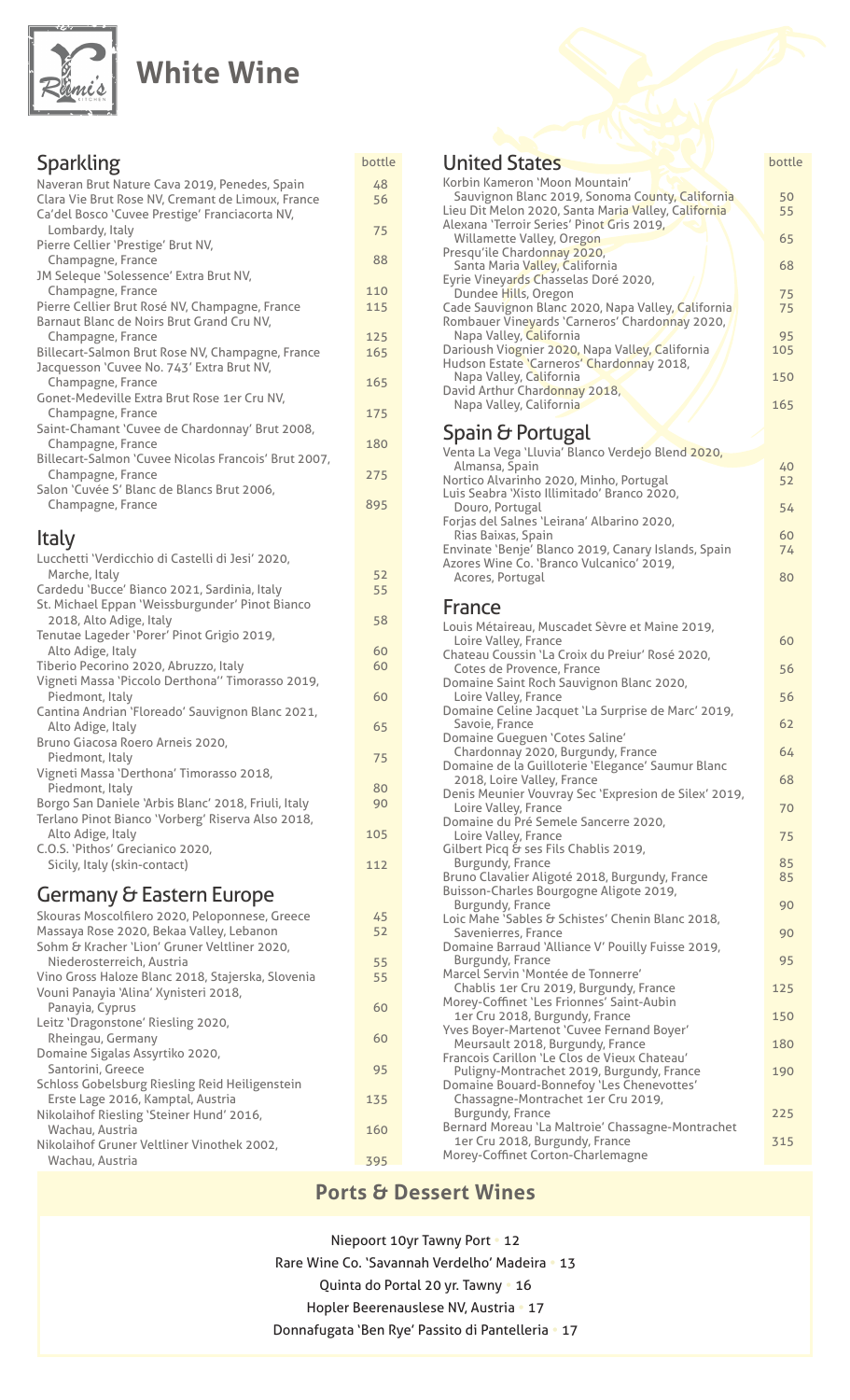

### **White Wine**

| Sparkling                                                                      | bottle   | Unit                  |
|--------------------------------------------------------------------------------|----------|-----------------------|
| Naveran Brut Nature Cava 2019, Penedes, Spain                                  | 48       | Korbin                |
| Clara Vie Brut Rose NV, Cremant de Limoux, France                              | 56       | Sauv<br>Lieu D        |
| Ca'del Bosco 'Cuvee Prestige' Franciacorta NV,<br>Lombardy, Italy              | 75       | Alexan                |
| Pierre Cellier 'Prestige' Brut NV,                                             |          | Willa                 |
| Champagne, France                                                              | 88       | Presqu<br>Sant        |
| JM Seleque 'Solessence' Extra Brut NV,                                         | 110      | Eyrie \               |
| Champagne, France<br>Pierre Cellier Brut Rosé NV, Champagne, France            | 115      | Dun<br>Cade S         |
| Barnaut Blanc de Noirs Brut Grand Cru NV,                                      |          | Romba                 |
| Champagne, France                                                              | 125      | Napa                  |
| Billecart-Salmon Brut Rose NV, Champagne, France                               | 165      | Dariou<br>Hudso       |
| Jacquesson 'Cuvee No. 743' Extra Brut NV,<br>Champagne, France                 | 165      | Napa                  |
| Gonet-Medeville Extra Brut Rose 1er Cru NV,                                    |          | David.                |
| Champagne, France                                                              | 175      | Napa                  |
| Saint-Chamant 'Cuvee de Chardonnay' Brut 2008,                                 | 180      | Spai                  |
| Champagne, France<br>Billecart-Salmon 'Cuvee Nicolas Francois' Brut 2007,      |          | Venta                 |
| Champagne, France                                                              | 275      | Alma<br>Nortice       |
| Salon 'Cuvée S' Blanc de Blancs Brut 2006,                                     |          | Luis Se               |
| Champagne, France                                                              | 895      | Dour                  |
| Italy                                                                          |          | Forjas<br><b>Rias</b> |
|                                                                                |          | Envina                |
| Lucchetti 'Verdicchio di Castelli di Jesi' 2020,<br>Marche, Italy              | 52       | Azores<br>Acor        |
| Cardedu 'Bucce' Bianco 2021, Sardinia, Italy                                   | 55       |                       |
| St. Michael Eppan 'Weissburgunder' Pinot Bianco                                |          | Fran                  |
| 2018, Alto Adige, Italy                                                        | 58       | Louis I               |
| Tenutae Lageder 'Porer' Pinot Grigio 2019,<br>Alto Adige, Italy                | 60       | Loire                 |
| Tiberio Pecorino 2020, Abruzzo, Italy                                          | 60       | Chatea<br>Cote        |
| Vigneti Massa 'Piccolo Derthona'' Timorasso 2019,                              |          | Domai                 |
| Piedmont, Italy<br>Cantina Andrian 'Floreado' Sauvignon Blanc 2021,            | 60       | Loire<br>Domai        |
| Alto Adige, Italy                                                              | 65       | Savo                  |
| Bruno Giacosa Roero Arneis 2020,                                               |          | Domai                 |
| Piedmont, Italy                                                                | 75       | Char<br>Domai         |
| Vigneti Massa 'Derthona' Timorasso 2018,<br>Piedmont, Italy                    | 80       | 2018                  |
| Borgo San Daniele 'Arbis Blanc' 2018, Friuli, Italy                            | 90       | Denis<br>Loire        |
| Terlano Pinot Bianco 'Vorberg' Riserva Also 2018,                              |          | Domai                 |
| Alto Adige, Italy                                                              | 105      | Loire                 |
| C.O.S. 'Pithos' Grecianico 2020,<br>Sicily, Italy (skin-contact)               | 112      | Gilber<br><b>Burg</b> |
|                                                                                |          | Bruno                 |
| Germany & Eastern Europe                                                       |          | Buisso                |
| Skouras Moscolfilero 2020, Peloponnese, Greece                                 | 45       | <b>Burg</b><br>Loic M |
| Massaya Rose 2020, Bekaa Valley, Lebanon                                       | 52       | Save                  |
| Sohm & Kracher 'Lion' Gruner Veltliner 2020,                                   |          | Domai<br><b>Burg</b>  |
| Niederosterreich, Austria<br>Vino Gross Haloze Blanc 2018, Stajerska, Slovenia | 55<br>55 | Marcel                |
| Vouni Panayia 'Alina' Xynisteri 2018,                                          |          | Chab                  |
| Panayia, Cyprus                                                                | 60       | Morey<br>1er (        |
| Leitz 'Dragonstone' Riesling 2020,                                             |          | Yves B                |
| Rheingau, Germany<br>Domaine Sigalas Assyrtiko 2020,                           | 60       | Meu                   |
| Santorini, Greece                                                              | 95       | Franco<br>Pulig       |
| Schloss Gobelsburg Riesling Reid Heiligenstein                                 |          | Domai                 |
| Erste Lage 2016, Kamptal, Austria                                              | 135      | Chas                  |
| Nikolaihof Riesling 'Steiner Hund' 2016,<br>Wachau, Austria                    | 160      | Burg<br>Bernar        |

Nikolaihof Gruner Veltliner Vinothek 2002,

Wachau, Austria (1999), National Austria (1995), National Austria (1995), National Austria (1995), N

#### **States United States Exhibition bottle** Kameron 'Moon Mountain' ignon Blanc 2019, Sonoma County, California (1918)<br>it Melon 2020, Santa Maria Valley, California (1918) it Melon 2020, Santa Maria Valley, California a 'Terroir Series' Pinot Gris 2019, amette Valley, Oregon 65 <sup>2</sup>ile Chardonnay 2020, a Maria Valley, California **1988** Ineyards Chasselas Doré 2020, dee Hills, Oregon , No. 1996 , No. 1996 , No. 1996 , No. 1996 , No. 1997 , No. 19 auvignon Blanc 2020, Napa Valley, California **1988** 75 uer Vineyards 'Carneros' Chardonnay 2020, a Valley, California<br>Ish Viognier 2020, Napa Valley, California 195 Darioush Viognier 2020, Napa Valley, California // 105 Hudson Estate 'Carneros' Chardonnay 2018, a Valley, California (150) 150 Arthur Chardonnay 2018, a Valley, California (165) (165) 165 in  $\sigma$  Portugal La Vega 'Lluvia' Blanco Verdejo Blend 2020, ansa, Špain (1988)<br>1920 - Alvarinho 2020, Minho, Portugal (1988) o Alvarinho 2020, Minho, Portugal eabra 'Xisto Illimitado' Branco 2020, **54** Portugal **1996 COVID-1997 COVID-2010 COVID-2010 COVID-2010 COVID-2010 COVID-2010 COVID-2010 COVID-2010 COVID-2010 COVID-2010 COVID-2010 COVID-2010 COVID-2010 COVID-2010 COVID-2010 COVID** del Salnes 'Leirana' Albarino 2020, Baixas, Spain<br>te 'Benje' Blanco 2019, Canary Islands, Spain 74 te 'Benje' Blanco 2019, Canary Islands, Spain Wine Co. 'Branco Vulcanico' 2019, es, Portugal ,Acores and the set of the set of the set of the set of the set of the set of the set of the set o ce

| Louis Métaireau, Muscadet Sèvre et Maine 2019,<br>Loire Valley, France                 | 60  |
|----------------------------------------------------------------------------------------|-----|
| Chateau Coussin 'La Croix du Preiur' Rosé 2020,                                        |     |
| Cotes de Provence, France<br>Domaine Saint Roch Sauvignon Blanc 2020,                  | 56  |
| Loire Valley, France                                                                   | 56  |
| Domaine Celine Jacquet 'La Surprise de Marc' 2019,<br>Savoie, France                   | 62  |
| Domaine Gueguen 'Cotes Saline'                                                         |     |
| Chardonnay 2020, Burgundy, France<br>Domaine de la Guilloterie 'Elegance' Saumur Blanc | 64  |
| 2018, Loire Valley, France                                                             | 68  |
| Denis Meunier Vouvray Sec 'Expresion de Silex' 2019,<br>Loire Valley, France           | 70  |
| Domaine du Pré Semele Sancerre 2020,                                                   |     |
| Loire Valley, France                                                                   | 75  |
| Gilbert Picq & ses Fils Chablis 2019,<br>Burgundy, France                              | 85  |
| Bruno Clavalier Aligoté 2018, Burgundy, France                                         | 85  |
| Buisson-Charles Bourgogne Aligote 2019,                                                |     |
| Burgundy, France<br>Loic Mahe 'Sables & Schistes' Chenin Blanc 2018,                   | 90  |
| Savenierres, France                                                                    | 90  |
| Domaine Barraud 'Alliance V' Pouilly Fuisse 2019,                                      |     |
| Burgundy, France<br>Marcel Servin 'Montée de Tonnerre'                                 | 95  |
| Chablis 1er Cru 2019, Burgundy, France                                                 | 125 |
| Morey-Coffinet 'Les Frionnes' Saint-Aubin                                              |     |
| 1er Cru 2018, Burgundy, France                                                         | 150 |
| Yves Boyer-Martenot 'Cuvee Fernand Boyer'<br>Meursault 2018, Burgundy, France          | 180 |
| Francois Carillon 'Le Clos de Vieux Chateau'                                           |     |
| Puligny-Montrachet 2019, Burgundy, France                                              | 190 |
| Domaine Bouard-Bonnefoy 'Les Chenevottes'<br>Chassagne-Montrachet 1er Cru 2019,        |     |
| Burgundy, France                                                                       | 225 |
| Bernard Moreau 'La Maltroie' Chassagne-Montrachet                                      |     |
| 1er Cru 2018, Burgundy, France<br>Morey-Coffinet Corton-Charlemagne                    | 315 |
|                                                                                        |     |

#### **Ports & Dessert Wines**

Niepoort 10yr Tawny Port . 12 Rare Wine Co. 'Savannah Verdelho' Madeira . 13 Quinta do Portal 20 yr. Tawny . 16 Hopler Beerenauslese NV, Austria • 17 Donnafugata 'Ben Rye' Passito di Pantelleria . 17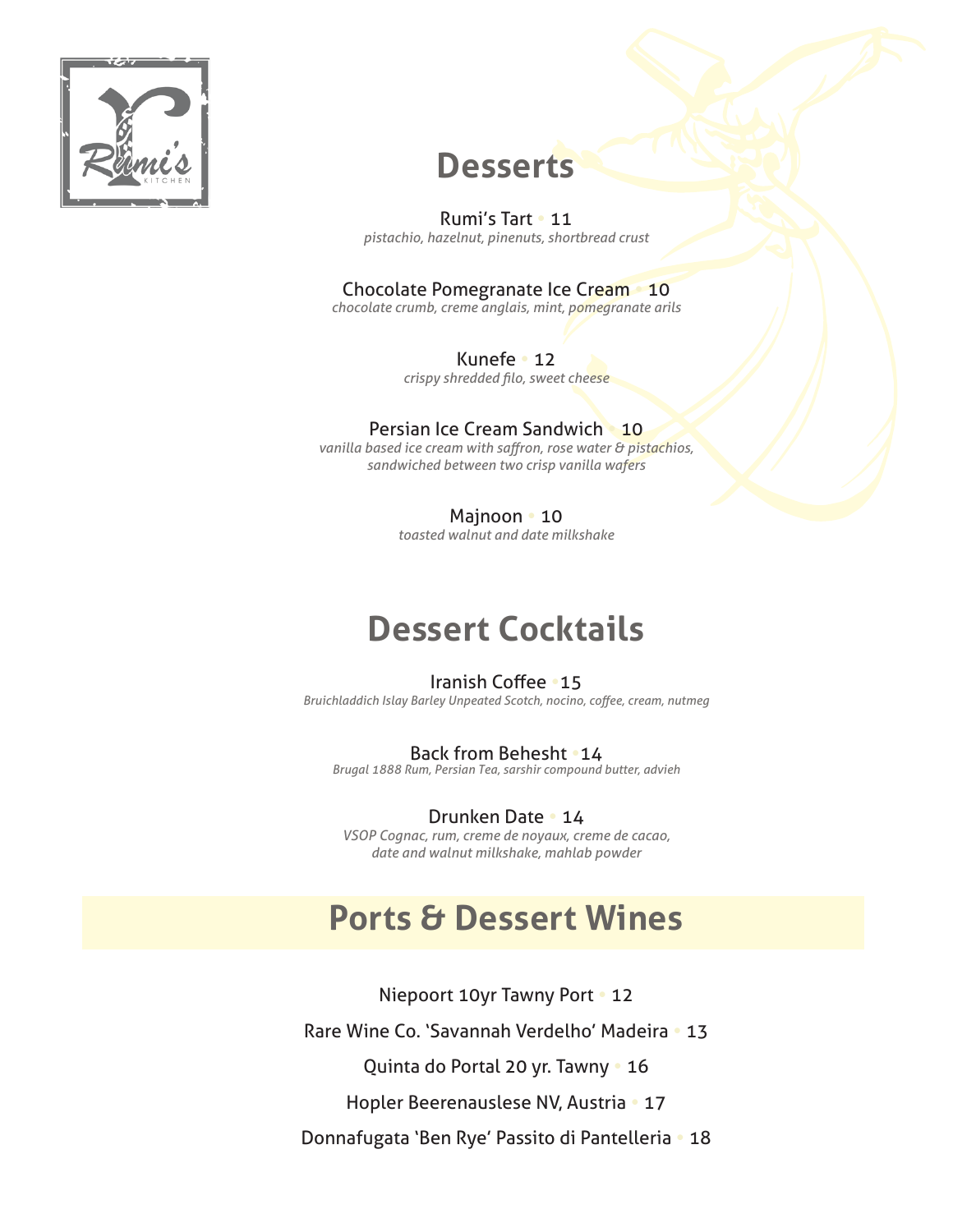

### **Desserts**

Rumi's Tart • 11 *crust shortbread ,pinenuts ,hazelnut ,pistachio*

#### **Chocolate Pomegranate Ice Cream 10**

chocolate crumb, creme anglais, mint, pomegranate arils

12 **•** Kunefe *crispy shredded filo, sweet cheese* 

#### **Persian Ice Cream Sandwich 10**

*vanilla based ice cream with saffron, rose water & pistachios,* sandwiched between two crisp vanilla wafers

Majnoon **10** 

*milkshake date and walnut toasted*

## **Dessert Cocktails**

#### **Iranish Coffee . 15**

**Bruichladdich Islay Barley Unpeated Scotch, nocino, coffee, cream, nutmeg** 

#### Back from Behesht **14**

*advieh ,butter compound sarshir ,Tea Persian ,Rum 1888 Brugal*

#### **Drunken Date • 14**

VSOP Cognac, rum, creme de noyaux, creme de cacao, date and walnut milkshake, mahlab powder

### **Ports & Dessert Wines**

Niepoort 10yr Tawny Port **.** 12 Rare Wine Co. 'Savannah Verdelho' Madeira . 13 Quinta do Portal 20 yr. Tawny . 16

Hopler Beerenauslese NV, Austria • 17

Donnafugata 'Ben Rye' Passito di Pantelleria . 18